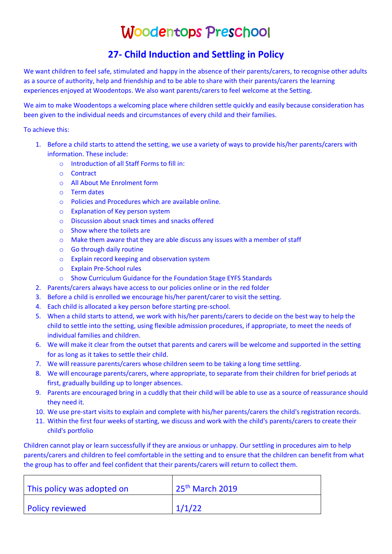## Woodentops Preschool

## **27- Child Induction and Settling in Policy**

We want children to feel safe, stimulated and happy in the absence of their parents/carers, to recognise other adults as a source of authority, help and friendship and to be able to share with their parents/carers the learning experiences enjoyed at Woodentops. We also want parents/carers to feel welcome at the Setting.

We aim to make Woodentops a welcoming place where children settle quickly and easily because consideration has been given to the individual needs and circumstances of every child and their families.

To achieve this:

- 1. Before a child starts to attend the setting, we use a variety of ways to provide his/her parents/carers with information. These include:
	- o Introduction of all Staff Forms to fill in:
	- o Contract
	- o All About Me Enrolment form
	- o Term dates
	- o Policies and Procedures which are available online.
	- o Explanation of Key person system
	- o Discussion about snack times and snacks offered
	- o Show where the toilets are
	- o Make them aware that they are able discuss any issues with a member of staff
	- o Go through daily routine
	- o Explain record keeping and observation system
	- o Explain Pre-School rules
	- o Show Curriculum Guidance for the Foundation Stage EYFS Standards
- 2. Parents/carers always have access to our policies online or in the red folder
- 3. Before a child is enrolled we encourage his/her parent/carer to visit the setting.
- 4. Each child is allocated a key person before starting pre-school.
- 5. When a child starts to attend, we work with his/her parents/carers to decide on the best way to help the child to settle into the setting, using flexible admission procedures, if appropriate, to meet the needs of individual families and children.
- 6. We will make it clear from the outset that parents and carers will be welcome and supported in the setting for as long as it takes to settle their child.
- 7. We will reassure parents/carers whose children seem to be taking a long time settling.
- 8. We will encourage parents/carers, where appropriate, to separate from their children for brief periods at first, gradually building up to longer absences.
- 9. Parents are encouraged bring in a cuddly that their child will be able to use as a source of reassurance should they need it.
- 10. We use pre-start visits to explain and complete with his/her parents/carers the child's registration records.
- 11. Within the first four weeks of starting, we discuss and work with the child's parents/carers to create their child's portfolio

Children cannot play or learn successfully if they are anxious or unhappy. Our settling in procedures aim to help parents/carers and children to feel comfortable in the setting and to ensure that the children can benefit from what the group has to offer and feel confident that their parents/carers will return to collect them.

| This policy was adopted on | $\sqrt{25^{th}}$ March 2019 |
|----------------------------|-----------------------------|
| <b>Policy reviewed</b>     | 1/1/22                      |